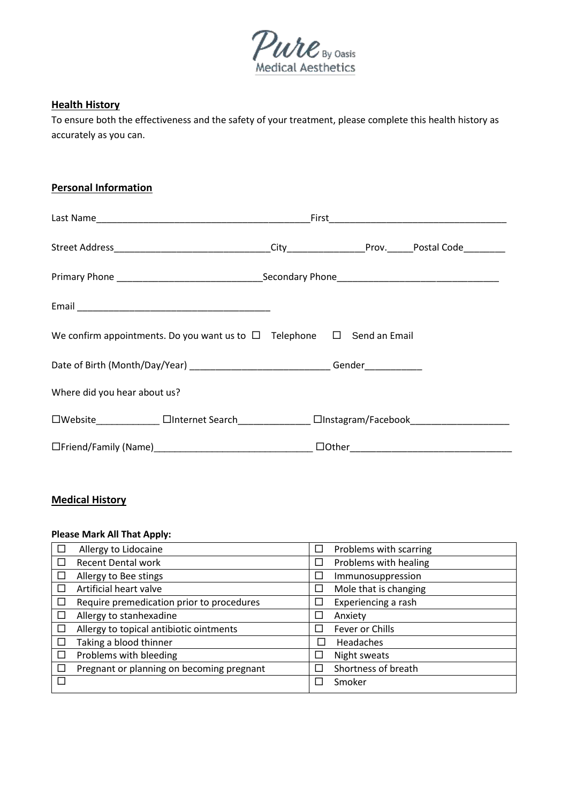

#### **Health History**

To ensure both the effectiveness and the safety of your treatment, please complete this health history as accurately as you can.

### **Personal Information**

| We confirm appointments. Do you want us to $\Box$ Telephone $\Box$ Send an Email                     |  |  |  |
|------------------------------------------------------------------------------------------------------|--|--|--|
| Date of Birth (Month/Day/Year) _______________________________Gender____________                     |  |  |  |
| Where did you hear about us?                                                                         |  |  |  |
| □Website_________________ □Internet Search___________________ □Instagram/Facebook___________________ |  |  |  |
|                                                                                                      |  |  |  |

# **Medical History**

# **Please Mark All That Apply:**

| Allergy to Lidocaine                      |                          | Problems with scarring |
|-------------------------------------------|--------------------------|------------------------|
| <b>Recent Dental work</b>                 | $\mathbb{Z}$             | Problems with healing  |
| Allergy to Bee stings                     | $\overline{\phantom{a}}$ | Immunosuppression      |
| Artificial heart valve                    | $\sim$                   | Mole that is changing  |
| Require premedication prior to procedures |                          | Experiencing a rash    |
| Allergy to stanhexadine                   | $\overline{\phantom{a}}$ | Anxiety                |
| Allergy to topical antibiotic ointments   | П                        | Fever or Chills        |
| Taking a blood thinner                    | $\mathsf{L}$             | Headaches              |
| Problems with bleeding                    | $\mathbb{R}^n$           | Night sweats           |
| Pregnant or planning on becoming pregnant |                          | Shortness of breath    |
|                                           |                          | Smoker                 |